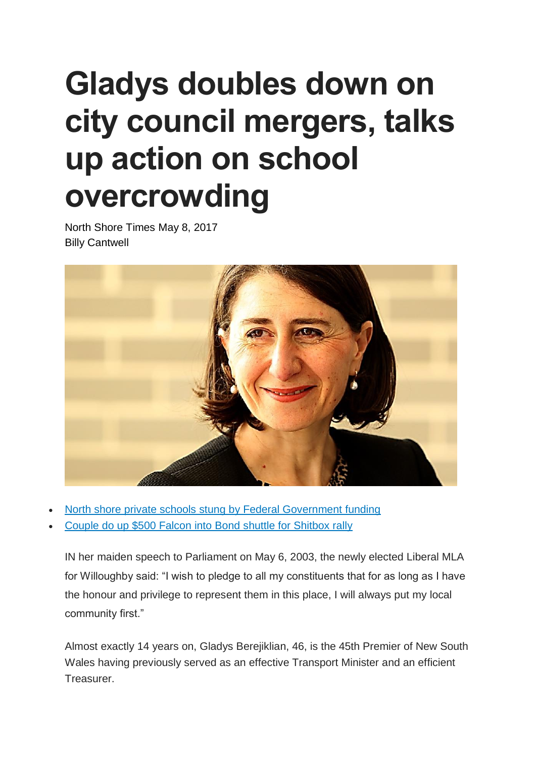## **Gladys doubles down on city council mergers, talks up action on school overcrowding**

North Shore Times May 8, 2017 Billy Cantwell



- North shore private schools stung by Federal [Government](http://www.dailytelegraph.com.au/newslocal/north-shore/north-shore-private-schools-stung-by-federal-government-funding-changes/news-story/629d0ce88adad998942a8353eda1383d) funding
- Couple do up \$500 Falcon into Bond shuttle for [Shitbox](http://www.dailytelegraph.com.au/newslocal/north-shore/riverview-couple-do-up-500-falcon-into-bond-shuttle-for-shitbox-rally/news-story/3fb5cb66714390c64013b02037ebe060) rally

IN her maiden speech to Parliament on May 6, 2003, the newly elected Liberal MLA for Willoughby said: "I wish to pledge to all my constituents that for as long as I have the honour and privilege to represent them in this place, I will always put my local community first."

Almost exactly 14 years on, Gladys Berejiklian, 46, is the 45th Premier of New South Wales having previously served as an effective Transport Minister and an efficient Treasurer.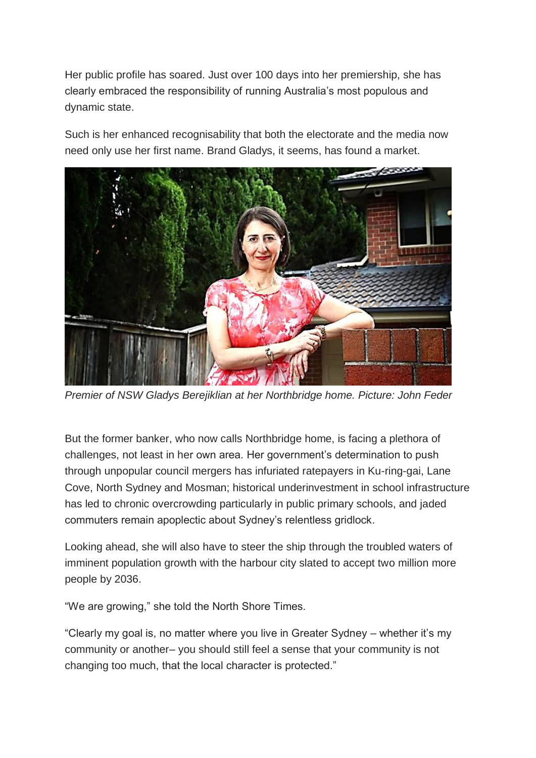Her public profile has soared. Just over 100 days into her premiership, she has clearly embraced the responsibility of running Australia's most populous and dynamic state.

Such is her enhanced recognisability that both the electorate and the media now need only use her first name. Brand Gladys, it seems, has found a market.



*Premier of NSW Gladys Berejiklian at her Northbridge home. Picture: John Feder*

But the former banker, who now calls Northbridge home, is facing a plethora of challenges, not least in her own area. Her government's determination to push through unpopular council mergers has infuriated ratepayers in Ku-ring-gai, Lane Cove, North Sydney and Mosman; historical underinvestment in school infrastructure has led to chronic overcrowding particularly in public primary schools, and jaded commuters remain apoplectic about Sydney's relentless gridlock.

Looking ahead, she will also have to steer the ship through the troubled waters of imminent population growth with the harbour city slated to accept two million more people by 2036.

"We are growing," she told the North Shore Times.

"Clearly my goal is, no matter where you live in Greater Sydney – whether it's my community or another– you should still feel a sense that your community is not changing too much, that the local character is protected."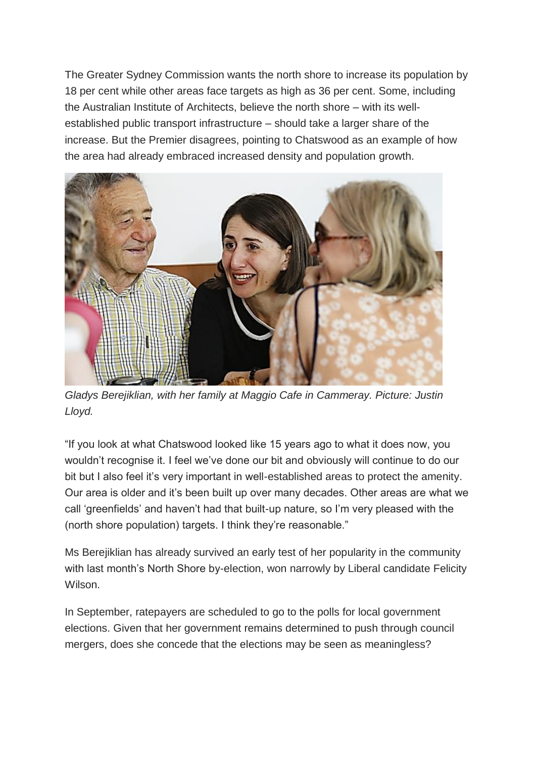The Greater Sydney Commission wants the north shore to increase its population by 18 per cent while other areas face targets as high as 36 per cent. Some, including the Australian Institute of Architects, believe the north shore – with its wellestablished public transport infrastructure – should take a larger share of the increase. But the Premier disagrees, pointing to Chatswood as an example of how the area had already embraced increased density and population growth.



*Gladys Berejiklian, with her family at Maggio Cafe in Cammeray. Picture: Justin Lloyd.*

"If you look at what Chatswood looked like 15 years ago to what it does now, you wouldn't recognise it. I feel we've done our bit and obviously will continue to do our bit but I also feel it's very important in well-established areas to protect the amenity. Our area is older and it's been built up over many decades. Other areas are what we call 'greenfields' and haven't had that built-up nature, so I'm very pleased with the (north shore population) targets. I think they're reasonable."

Ms Berejiklian has already survived an early test of her popularity in the community with last month's North Shore by-election, won narrowly by Liberal candidate Felicity Wilson.

In September, ratepayers are scheduled to go to the polls for local government elections. Given that her government remains determined to push through council mergers, does she concede that the elections may be seen as meaningless?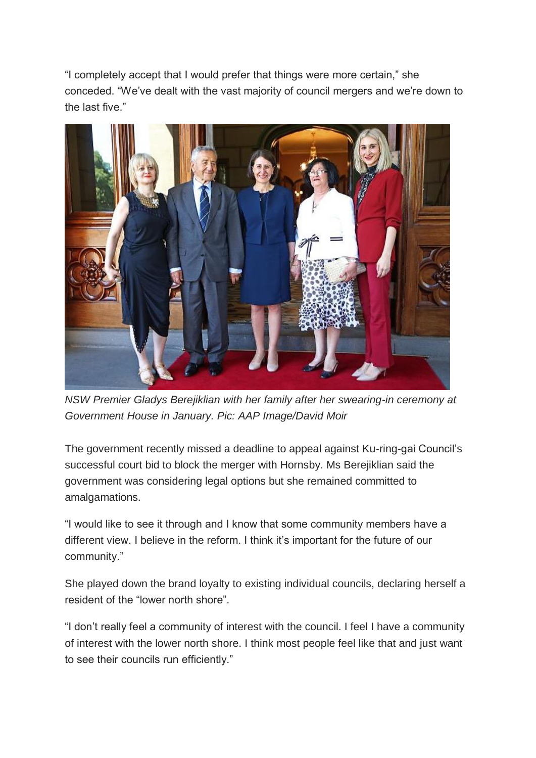"I completely accept that I would prefer that things were more certain," she conceded. "We've dealt with the vast majority of council mergers and we're down to the last five."



*NSW Premier Gladys Berejiklian with her family after her swearing-in ceremony at Government House in January. Pic: AAP Image/David Moir*

The government recently missed a deadline to appeal against Ku-ring-gai Council's successful court bid to block the merger with Hornsby. Ms Berejiklian said the government was considering legal options but she remained committed to amalgamations.

"I would like to see it through and I know that some community members have a different view. I believe in the reform. I think it's important for the future of our community."

She played down the brand loyalty to existing individual councils, declaring herself a resident of the "lower north shore".

"I don't really feel a community of interest with the council. I feel I have a community of interest with the lower north shore. I think most people feel like that and just want to see their councils run efficiently."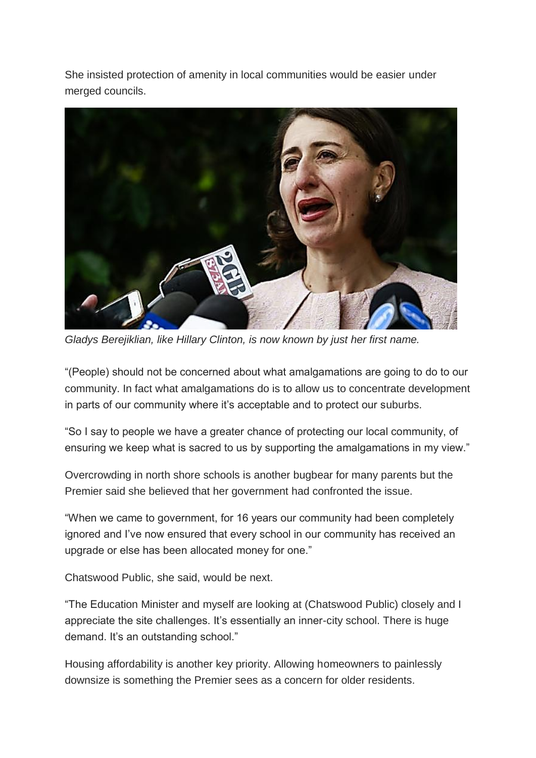She insisted protection of amenity in local communities would be easier under merged councils.



*Gladys Berejiklian, like Hillary Clinton, is now known by just her first name.*

"(People) should not be concerned about what amalgamations are going to do to our community. In fact what amalgamations do is to allow us to concentrate development in parts of our community where it's acceptable and to protect our suburbs.

"So I say to people we have a greater chance of protecting our local community, of ensuring we keep what is sacred to us by supporting the amalgamations in my view."

Overcrowding in north shore schools is another bugbear for many parents but the Premier said she believed that her government had confronted the issue.

"When we came to government, for 16 years our community had been completely ignored and I've now ensured that every school in our community has received an upgrade or else has been allocated money for one."

Chatswood Public, she said, would be next.

"The Education Minister and myself are looking at (Chatswood Public) closely and I appreciate the site challenges. It's essentially an inner-city school. There is huge demand. It's an outstanding school."

Housing affordability is another key priority. Allowing homeowners to painlessly downsize is something the Premier sees as a concern for older residents.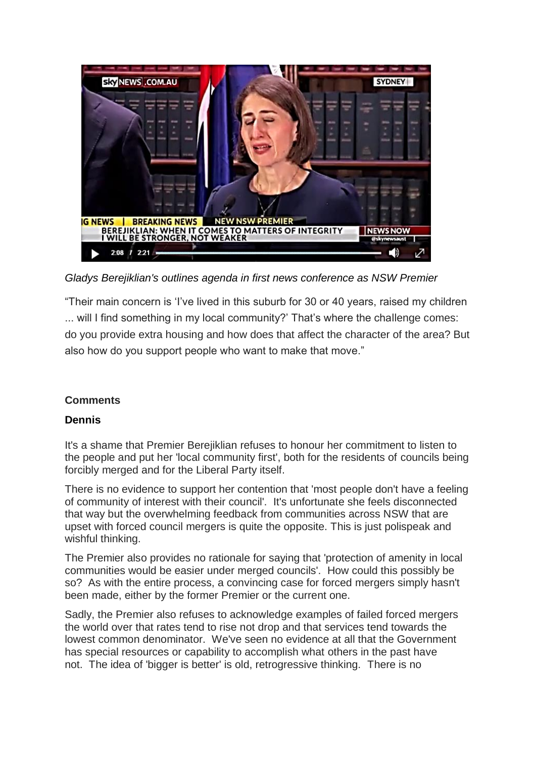

*Gladys Berejiklian's outlines agenda in first news conference as NSW Premier*

"Their main concern is 'I've lived in this suburb for 30 or 40 years, raised my children ... will I find something in my local community?' That's where the challenge comes: do you provide extra housing and how does that affect the character of the area? But also how do you support people who want to make that move."

## **Comments**

## **Dennis**

It's a shame that Premier Berejiklian refuses to honour her commitment to listen to the people and put her 'local community first', both for the residents of councils being forcibly merged and for the Liberal Party itself.

There is no evidence to support her contention that 'most people don't have a feeling of community of interest with their council'. It's unfortunate she feels disconnected that way but the overwhelming feedback from communities across NSW that are upset with forced council mergers is quite the opposite. This is just polispeak and wishful thinking.

The Premier also provides no rationale for saying that 'protection of amenity in local communities would be easier under merged councils'. How could this possibly be so? As with the entire process, a convincing case for forced mergers simply hasn't been made, either by the former Premier or the current one.

Sadly, the Premier also refuses to acknowledge examples of failed forced mergers the world over that rates tend to rise not drop and that services tend towards the lowest common denominator. We've seen no evidence at all that the Government has special resources or capability to accomplish what others in the past have not. The idea of 'bigger is better' is old, retrogressive thinking. There is no